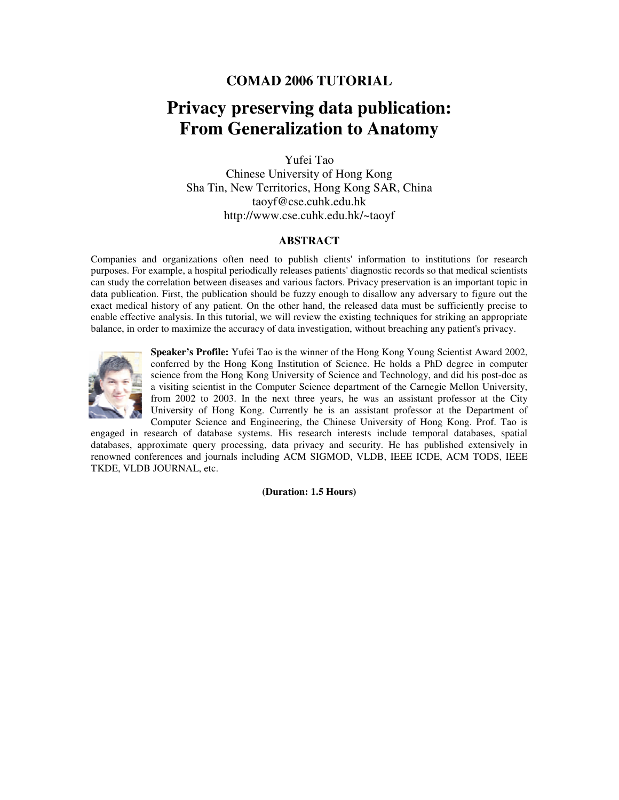## **Privacy preserving data publication: From Generalization to Anatomy**

Yufei Tao

Chinese University of Hong Kong Sha Tin, New Territories, Hong Kong SAR, China taoyf@cse.cuhk.edu.hk http://www.cse.cuhk.edu.hk/~taoyf

#### **ABSTRACT**

Companies and organizations often need to publish clients' information to institutions for research purposes. For example, a hospital periodically releases patients' diagnostic records so that medical scientists can study the correlation between diseases and various factors. Privacy preservation is an important topic in data publication. First, the publication should be fuzzy enough to disallow any adversary to figure out the exact medical history of any patient. On the other hand, the released data must be sufficiently precise to enable effective analysis. In this tutorial, we will review the existing techniques for striking an appropriate balance, in order to maximize the accuracy of data investigation, without breaching any patient's privacy.



**Speaker's Profile:** Yufei Tao is the winner of the Hong Kong Young Scientist Award 2002, conferred by the Hong Kong Institution of Science. He holds a PhD degree in computer science from the Hong Kong University of Science and Technology, and did his post-doc as a visiting scientist in the Computer Science department of the Carnegie Mellon University, from 2002 to 2003. In the next three years, he was an assistant professor at the City University of Hong Kong. Currently he is an assistant professor at the Department of Computer Science and Engineering, the Chinese University of Hong Kong. Prof. Tao is

engaged in research of database systems. His research interests include temporal databases, spatial databases, approximate query processing, data privacy and security. He has published extensively in renowned conferences and journals including ACM SIGMOD, VLDB, IEEE ICDE, ACM TODS, IEEE TKDE, VLDB JOURNAL, etc.

**(Duration: 1.5 Hours)**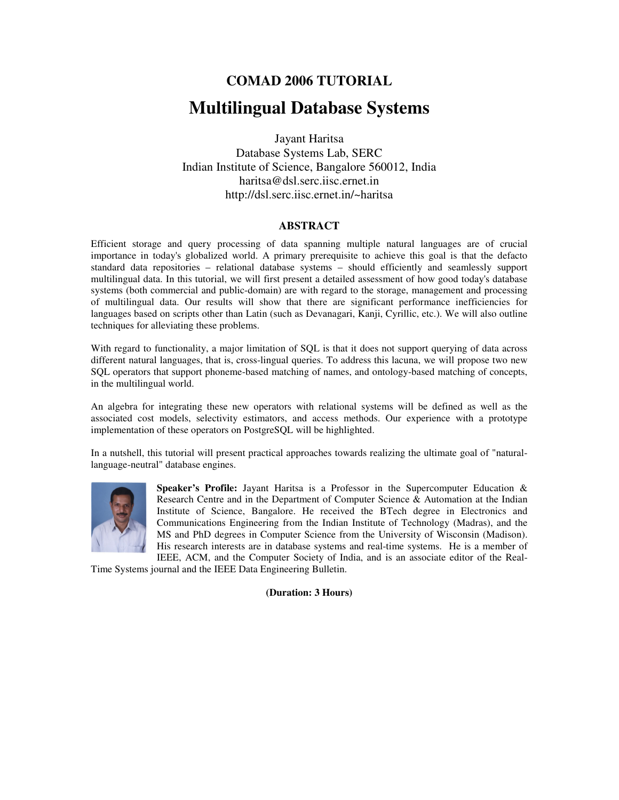# **COMAD 2006 TUTORIAL Multilingual Database Systems**

Jayant Haritsa Database Systems Lab, SERC Indian Institute of Science, Bangalore 560012, India haritsa@dsl.serc.iisc.ernet.in http://dsl.serc.iisc.ernet.in/~haritsa

#### **ABSTRACT**

Efficient storage and query processing of data spanning multiple natural languages are of crucial importance in today's globalized world. A primary prerequisite to achieve this goal is that the defacto standard data repositories – relational database systems – should efficiently and seamlessly support multilingual data. In this tutorial, we will first present a detailed assessment of how good today's database systems (both commercial and public-domain) are with regard to the storage, management and processing of multilingual data. Our results will show that there are significant performance inefficiencies for languages based on scripts other than Latin (such as Devanagari, Kanji, Cyrillic, etc.). We will also outline techniques for alleviating these problems.

With regard to functionality, a major limitation of SQL is that it does not support querying of data across different natural languages, that is, cross-lingual queries. To address this lacuna, we will propose two new SQL operators that support phoneme-based matching of names, and ontology-based matching of concepts, in the multilingual world.

An algebra for integrating these new operators with relational systems will be defined as well as the associated cost models, selectivity estimators, and access methods. Our experience with a prototype implementation of these operators on PostgreSQL will be highlighted.

In a nutshell, this tutorial will present practical approaches towards realizing the ultimate goal of "naturallanguage-neutral" database engines.



**Speaker's Profile:** Jayant Haritsa is a Professor in the Supercomputer Education & Research Centre and in the Department of Computer Science & Automation at the Indian Institute of Science, Bangalore. He received the BTech degree in Electronics and Communications Engineering from the Indian Institute of Technology (Madras), and the MS and PhD degrees in Computer Science from the University of Wisconsin (Madison). His research interests are in database systems and real-time systems. He is a member of IEEE, ACM, and the Computer Society of India, and is an associate editor of the Real-

Time Systems journal and the IEEE Data Engineering Bulletin.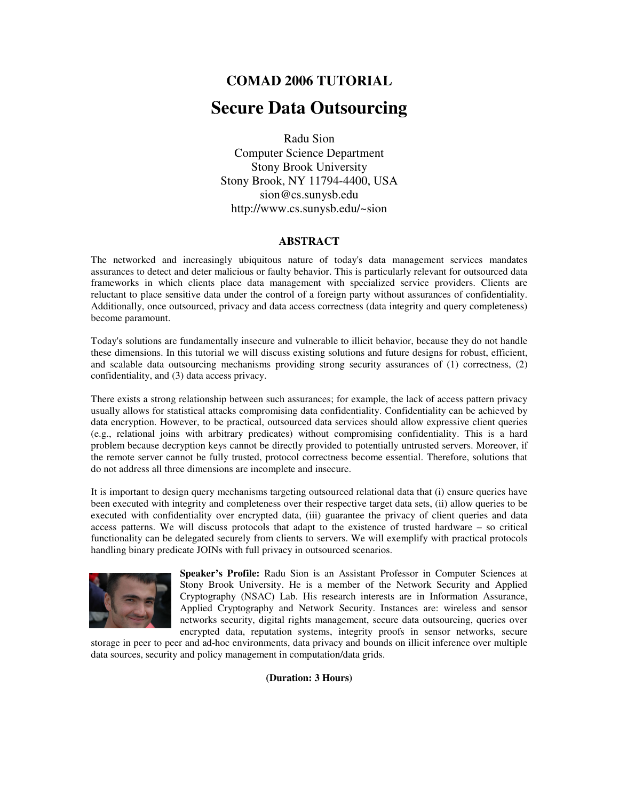## **Secure Data Outsourcing**

Radu Sion Computer Science Department Stony Brook University Stony Brook, NY 11794-4400, USA sion@cs.sunysb.edu http://www.cs.sunysb.edu/~sion

#### **ABSTRACT**

The networked and increasingly ubiquitous nature of today's data management services mandates assurances to detect and deter malicious or faulty behavior. This is particularly relevant for outsourced data frameworks in which clients place data management with specialized service providers. Clients are reluctant to place sensitive data under the control of a foreign party without assurances of confidentiality. Additionally, once outsourced, privacy and data access correctness (data integrity and query completeness) become paramount.

Today's solutions are fundamentally insecure and vulnerable to illicit behavior, because they do not handle these dimensions. In this tutorial we will discuss existing solutions and future designs for robust, efficient, and scalable data outsourcing mechanisms providing strong security assurances of (1) correctness, (2) confidentiality, and (3) data access privacy.

There exists a strong relationship between such assurances; for example, the lack of access pattern privacy usually allows for statistical attacks compromising data confidentiality. Confidentiality can be achieved by data encryption. However, to be practical, outsourced data services should allow expressive client queries (e.g., relational joins with arbitrary predicates) without compromising confidentiality. This is a hard problem because decryption keys cannot be directly provided to potentially untrusted servers. Moreover, if the remote server cannot be fully trusted, protocol correctness become essential. Therefore, solutions that do not address all three dimensions are incomplete and insecure.

It is important to design query mechanisms targeting outsourced relational data that (i) ensure queries have been executed with integrity and completeness over their respective target data sets, (ii) allow queries to be executed with confidentiality over encrypted data, (iii) guarantee the privacy of client queries and data access patterns. We will discuss protocols that adapt to the existence of trusted hardware – so critical functionality can be delegated securely from clients to servers. We will exemplify with practical protocols handling binary predicate JOINs with full privacy in outsourced scenarios.



**Speaker's Profile:** Radu Sion is an Assistant Professor in Computer Sciences at Stony Brook University. He is a member of the Network Security and Applied Cryptography (NSAC) Lab. His research interests are in Information Assurance, Applied Cryptography and Network Security. Instances are: wireless and sensor networks security, digital rights management, secure data outsourcing, queries over encrypted data, reputation systems, integrity proofs in sensor networks, secure

storage in peer to peer and ad-hoc environments, data privacy and bounds on illicit inference over multiple data sources, security and policy management in computation/data grids.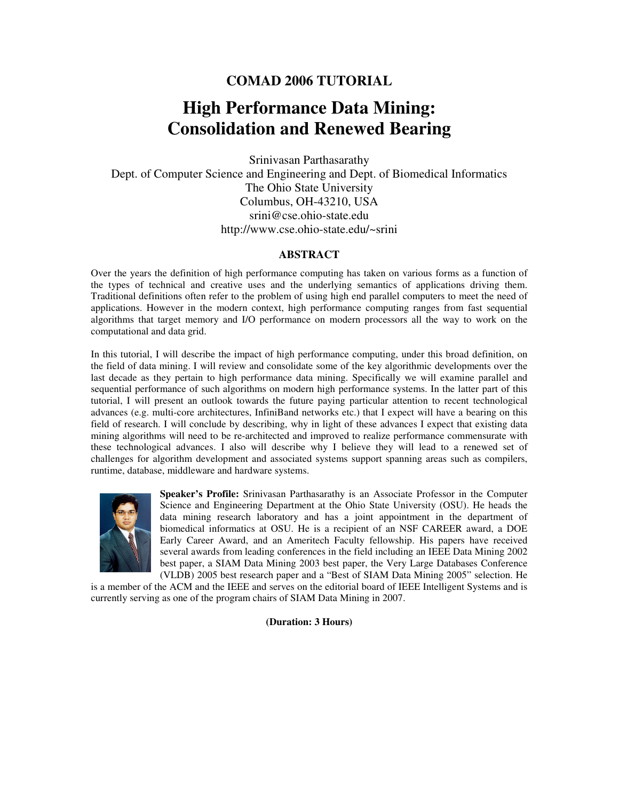# **High Performance Data Mining: Consolidation and Renewed Bearing**

Srinivasan Parthasarathy Dept. of Computer Science and Engineering and Dept. of Biomedical Informatics The Ohio State University Columbus, OH-43210, USA srini@cse.ohio-state.edu http://www.cse.ohio-state.edu/~srini

#### **ABSTRACT**

Over the years the definition of high performance computing has taken on various forms as a function of the types of technical and creative uses and the underlying semantics of applications driving them. Traditional definitions often refer to the problem of using high end parallel computers to meet the need of applications. However in the modern context, high performance computing ranges from fast sequential algorithms that target memory and I/O performance on modern processors all the way to work on the computational and data grid.

In this tutorial, I will describe the impact of high performance computing, under this broad definition, on the field of data mining. I will review and consolidate some of the key algorithmic developments over the last decade as they pertain to high performance data mining. Specifically we will examine parallel and sequential performance of such algorithms on modern high performance systems. In the latter part of this tutorial, I will present an outlook towards the future paying particular attention to recent technological advances (e.g. multi-core architectures, InfiniBand networks etc.) that I expect will have a bearing on this field of research. I will conclude by describing, why in light of these advances I expect that existing data mining algorithms will need to be re-architected and improved to realize performance commensurate with these technological advances. I also will describe why I believe they will lead to a renewed set of challenges for algorithm development and associated systems support spanning areas such as compilers, runtime, database, middleware and hardware systems.



**Speaker's Profile:** Srinivasan Parthasarathy is an Associate Professor in the Computer Science and Engineering Department at the Ohio State University (OSU). He heads the data mining research laboratory and has a joint appointment in the department of biomedical informatics at OSU. He is a recipient of an NSF CAREER award, a DOE Early Career Award, and an Ameritech Faculty fellowship. His papers have received several awards from leading conferences in the field including an IEEE Data Mining 2002 best paper, a SIAM Data Mining 2003 best paper, the Very Large Databases Conference (VLDB) 2005 best research paper and a "Best of SIAM Data Mining 2005" selection. He

is a member of the ACM and the IEEE and serves on the editorial board of IEEE Intelligent Systems and is currently serving as one of the program chairs of SIAM Data Mining in 2007.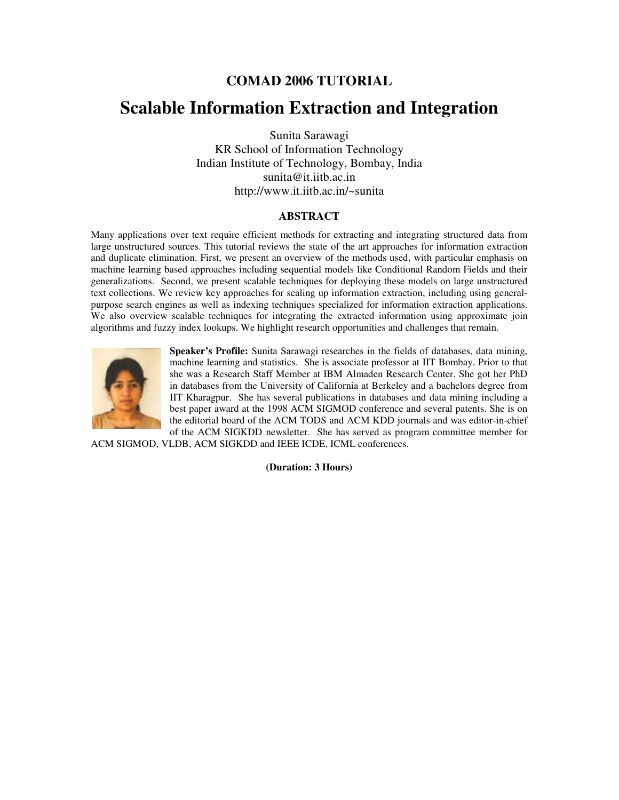## **Scalable Information Extraction and Integration**

Sunita Sarawagi KR School of Information Technology Indian Institute of Technology, Bombay, India sunita@it.iitb.ac.in http://www.it.iitb.ac.in/~sunita

#### **ABSTRACT**

Many applications over text require efficient methods for extracting and integrating structured data from large unstructured sources. This tutorial reviews the state of the art approaches for information extraction and duplicate elimination. First, we present an overview of the methods used, with particular emphasis on machine learning based approaches including sequential models like Conditional Random Fields and their generalizations. Second, we present scalable techniques for deploying these models on large unstructured text collections. We review key approaches for scaling up information extraction, including using generalpurpose search engines as well as indexing techniques specialized for information extraction applications. We also overview scalable techniques for integrating the extracted information using approximate join algorithms and fuzzy index lookups. We highlight research opportunities and challenges that remain.



**Speaker's Profile:** Sunita Sarawagi researches in the fields of databases, data mining, machine learning and statistics. She is associate professor at IIT Bombay. Prior to that she was a Research Staff Member at IBM Almaden Research Center. She got her PhD in databases from the University of California at Berkeley and a bachelors degree from IIT Kharagpur. She has several publications in databases and data mining including a best paper award at the 1998 ACM SIGMOD conference and several patents. She is on the editorial board of the ACM TODS and ACM KDD journals and was editor-in-chief of the ACM SIGKDD newsletter. She has served as program committee member for

ACM SIGMOD, VLDB, ACM SIGKDD and IEEE ICDE, ICML conferences.